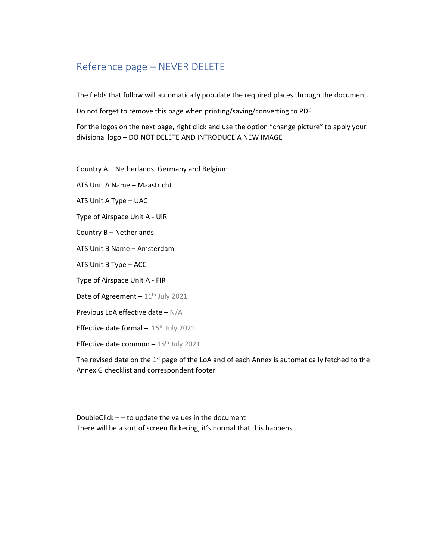# Reference page – NEVER DELETE

The fields that follow will automatically populate the required places through the document.

Do not forget to remove this page when printing/saving/converting to PDF

For the logos on the next page, right click and use the option "change picture" to apply your divisional logo – DO NOT DELETE AND INTRODUCE A NEW IMAGE

Country A – Netherlands, Germany and Belgium

ATS Unit A Name – Maastricht

ATS Unit A Type – UAC

Type of Airspace Unit A - UIR

Country B – Netherlands

ATS Unit B Name – Amsterdam

ATS Unit B Type – ACC

Type of Airspace Unit A - FIR

Date of Agreement  $-11^{\text{th}}$  July 2021

Previous LoA effective date – N/A

Effective date formal  $-15$ <sup>th</sup> July 2021

Effective date common  $-15$ <sup>th</sup> July 2021

The revised date on the 1<sup>st</sup> page of the LoA and of each Annex is automatically fetched to the Annex G checklist and correspondent footer

DoubleClick – – to update the values in the document There will be a sort of screen flickering, it's normal that this happens.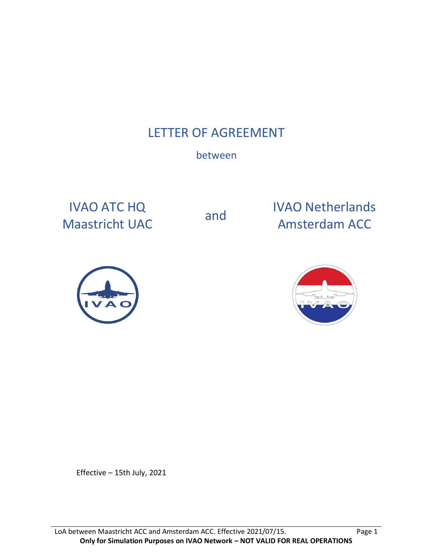# LETTER OF AGREEMENT

# between

IVAO ATC HQ

IVAO ATC HQ<br>
Maastricht UAC and Mansterdam ACC





Effective – 15th July, 2021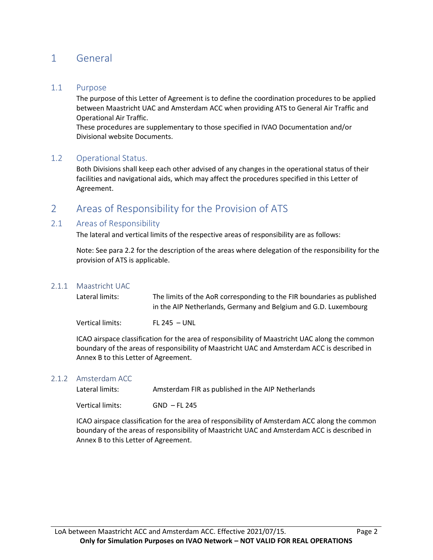## 1 General

### 1.1 Purpose

The purpose of this Letter of Agreement is to define the coordination procedures to be applied between Maastricht UAC and Amsterdam ACC when providing ATS to General Air Traffic and Operational Air Traffic.

These procedures are supplementary to those specified in IVAO Documentation and/or Divisional website Documents.

### 1.2 Operational Status.

Both Divisions shall keep each other advised of any changes in the operational status of their facilities and navigational aids, which may affect the procedures specified in this Letter of Agreement.

### 2 Areas of Responsibility for the Provision of ATS

### 2.1 Areas of Responsibility

The lateral and vertical limits of the respective areas of responsibility are as follows:

Note: See para 2.2 for the description of the areas where delegation of the responsibility for the provision of ATS is applicable.

#### 2.1.1 Maastricht UAC

| Lateral limits:  | The limits of the AoR corresponding to the FIR boundaries as published |
|------------------|------------------------------------------------------------------------|
|                  | in the AIP Netherlands, Germany and Belgium and G.D. Luxembourg        |
| Vertical limits: | FL 245 - UNI                                                           |

ICAO airspace classification for the area of responsibility of Maastricht UAC along the common boundary of the areas of responsibility of Maastricht UAC and Amsterdam ACC is described in Annex B to this Letter of Agreement.

#### 2.1.2 Amsterdam ACC

Lateral limits: Amsterdam FIR as published in the AIP Netherlands

Vertical limits: GND – FL 245

ICAO airspace classification for the area of responsibility of Amsterdam ACC along the common boundary of the areas of responsibility of Maastricht UAC and Amsterdam ACC is described in Annex B to this Letter of Agreement.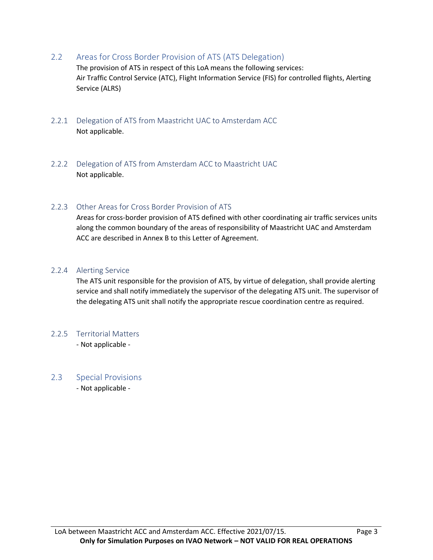2.2 Areas for Cross Border Provision of ATS (ATS Delegation)

The provision of ATS in respect of this LoA means the following services: Air Traffic Control Service (ATC), Flight Information Service (FIS) for controlled flights, Alerting Service (ALRS)

- 2.2.1 Delegation of ATS from Maastricht UAC to Amsterdam ACC Not applicable.
- 2.2.2 Delegation of ATS from Amsterdam ACC to Maastricht UAC Not applicable.

### 2.2.3 Other Areas for Cross Border Provision of ATS

Areas for cross-border provision of ATS defined with other coordinating air traffic services units along the common boundary of the areas of responsibility of Maastricht UAC and Amsterdam ACC are described in Annex B to this Letter of Agreement.

### 2.2.4 Alerting Service

The ATS unit responsible for the provision of ATS, by virtue of delegation, shall provide alerting service and shall notify immediately the supervisor of the delegating ATS unit. The supervisor of the delegating ATS unit shall notify the appropriate rescue coordination centre as required.

### 2.2.5 Territorial Matters

- Not applicable -

### 2.3 Special Provisions

- Not applicable -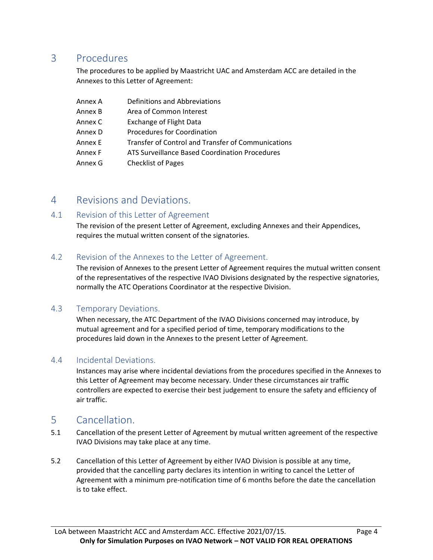## 3 Procedures

The procedures to be applied by Maastricht UAC and Amsterdam ACC are detailed in the Annexes to this Letter of Agreement:

| Annex A | Definitions and Abbreviations                      |
|---------|----------------------------------------------------|
| Annex B | Area of Common Interest                            |
| Annex C | <b>Exchange of Flight Data</b>                     |
| Annex D | <b>Procedures for Coordination</b>                 |
| Annex E | Transfer of Control and Transfer of Communications |
| Annex F | ATS Surveillance Based Coordination Procedures     |
| Annex G | <b>Checklist of Pages</b>                          |

### 4 Revisions and Deviations.

### 4.1 Revision of this Letter of Agreement

The revision of the present Letter of Agreement, excluding Annexes and their Appendices, requires the mutual written consent of the signatories.

### 4.2 Revision of the Annexes to the Letter of Agreement.

The revision of Annexes to the present Letter of Agreement requires the mutual written consent of the representatives of the respective IVAO Divisions designated by the respective signatories, normally the ATC Operations Coordinator at the respective Division.

### 4.3 Temporary Deviations.

When necessary, the ATC Department of the IVAO Divisions concerned may introduce, by mutual agreement and for a specified period of time, temporary modifications to the procedures laid down in the Annexes to the present Letter of Agreement.

### 4.4 Incidental Deviations.

Instances may arise where incidental deviations from the procedures specified in the Annexes to this Letter of Agreement may become necessary. Under these circumstances air traffic controllers are expected to exercise their best judgement to ensure the safety and efficiency of air traffic.

### 5 Cancellation.

- 5.1 Cancellation of the present Letter of Agreement by mutual written agreement of the respective IVAO Divisions may take place at any time.
- 5.2 Cancellation of this Letter of Agreement by either IVAO Division is possible at any time, provided that the cancelling party declares its intention in writing to cancel the Letter of Agreement with a minimum pre-notification time of 6 months before the date the cancellation is to take effect.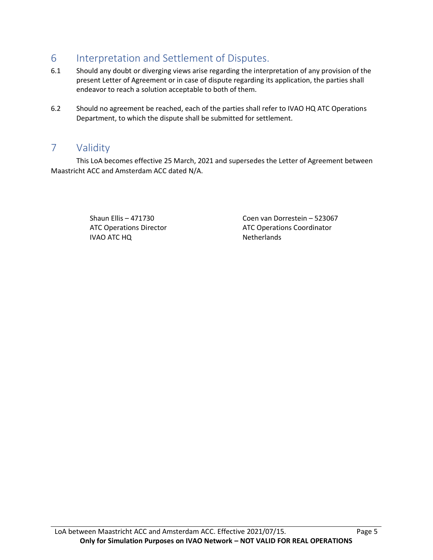# 6 Interpretation and Settlement of Disputes.

- 6.1 Should any doubt or diverging views arise regarding the interpretation of any provision of the present Letter of Agreement or in case of dispute regarding its application, the parties shall endeavor to reach a solution acceptable to both of them.
- 6.2 Should no agreement be reached, each of the parties shall refer to IVAO HQ ATC Operations Department, to which the dispute shall be submitted for settlement.

### 7 Validity

This LoA becomes effective 25 March, 2021 and supersedes the Letter of Agreement between Maastricht ACC and Amsterdam ACC dated N/A.

> ATC Operations Director IVAO ATC HQ

Shaun Ellis – 471730 Coen van Dorrestein – 523067 ATC Operations Coordinator Netherlands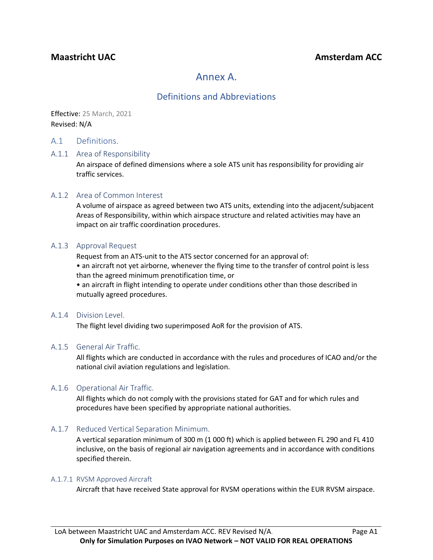### **Maastricht UAC Amsterdam ACC Amsterdam ACC**

# Annex A.

### Definitions and Abbreviations

Effective: 25 March, 2021 Revised: N/A

### A.1 Definitions.

### A.1.1 Area of Responsibility

An airspace of defined dimensions where a sole ATS unit has responsibility for providing air traffic services.

### A.1.2 Area of Common Interest

A volume of airspace as agreed between two ATS units, extending into the adjacent/subjacent Areas of Responsibility, within which airspace structure and related activities may have an impact on air traffic coordination procedures.

### A.1.3 Approval Request

Request from an ATS-unit to the ATS sector concerned for an approval of:

• an aircraft not yet airborne, whenever the flying time to the transfer of control point is less than the agreed minimum prenotification time, or

• an aircraft in flight intending to operate under conditions other than those described in mutually agreed procedures.

#### A.1.4 Division Level.

The flight level dividing two superimposed AoR for the provision of ATS.

### A.1.5 General Air Traffic.

All flights which are conducted in accordance with the rules and procedures of ICAO and/or the national civil aviation regulations and legislation.

### A.1.6 Operational Air Traffic.

All flights which do not comply with the provisions stated for GAT and for which rules and procedures have been specified by appropriate national authorities.

### A.1.7 Reduced Vertical Separation Minimum.

A vertical separation minimum of 300 m (1 000 ft) which is applied between FL 290 and FL 410 inclusive, on the basis of regional air navigation agreements and in accordance with conditions specified therein.

#### A.1.7.1 RVSM Approved Aircraft

Aircraft that have received State approval for RVSM operations within the EUR RVSM airspace.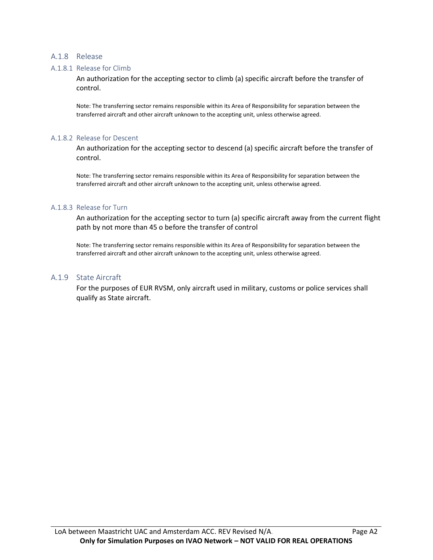### A.1.8 Release

#### A.1.8.1 Release for Climb

An authorization for the accepting sector to climb (a) specific aircraft before the transfer of control.

Note: The transferring sector remains responsible within its Area of Responsibility for separation between the transferred aircraft and other aircraft unknown to the accepting unit, unless otherwise agreed.

#### A.1.8.2 Release for Descent

An authorization for the accepting sector to descend (a) specific aircraft before the transfer of control.

Note: The transferring sector remains responsible within its Area of Responsibility for separation between the transferred aircraft and other aircraft unknown to the accepting unit, unless otherwise agreed.

#### A.1.8.3 Release for Turn

An authorization for the accepting sector to turn (a) specific aircraft away from the current flight path by not more than 45 o before the transfer of control

Note: The transferring sector remains responsible within its Area of Responsibility for separation between the transferred aircraft and other aircraft unknown to the accepting unit, unless otherwise agreed.

#### A.1.9 State Aircraft

For the purposes of EUR RVSM, only aircraft used in military, customs or police services shall qualify as State aircraft.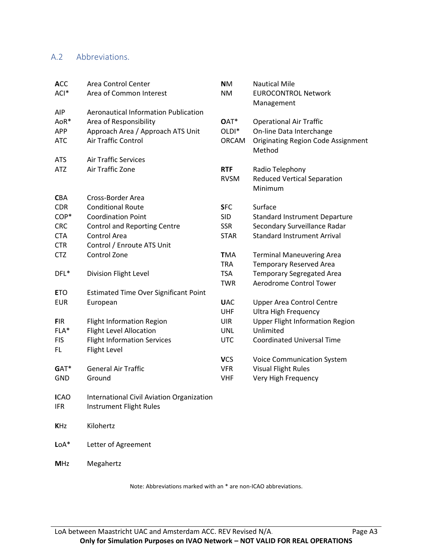### A.2 Abbreviations.

| <b>ACC</b>  | <b>Area Control Center</b>                   | <b>NM</b>         | <b>Nautical Mile</b>                      |
|-------------|----------------------------------------------|-------------------|-------------------------------------------|
| ACI*        | Area of Common Interest                      | <b>NM</b>         | <b>EUROCONTROL Network</b>                |
|             |                                              |                   | Management                                |
| <b>AIP</b>  | <b>Aeronautical Information Publication</b>  |                   |                                           |
| AoR*        | Area of Responsibility                       | OAT*              | <b>Operational Air Traffic</b>            |
| <b>APP</b>  | Approach Area / Approach ATS Unit            | OLDI <sup>*</sup> | On-line Data Interchange                  |
| <b>ATC</b>  | Air Traffic Control                          | <b>ORCAM</b>      | <b>Originating Region Code Assignment</b> |
|             |                                              |                   | Method                                    |
| <b>ATS</b>  | <b>Air Traffic Services</b>                  |                   |                                           |
| <b>ATZ</b>  | Air Traffic Zone                             | <b>RTF</b>        | Radio Telephony                           |
|             |                                              | <b>RVSM</b>       | <b>Reduced Vertical Separation</b>        |
|             |                                              |                   | Minimum                                   |
| <b>CBA</b>  | Cross-Border Area                            |                   |                                           |
| <b>CDR</b>  | <b>Conditional Route</b>                     | <b>SFC</b>        | Surface                                   |
| COP*        | <b>Coordination Point</b>                    | <b>SID</b>        | <b>Standard Instrument Departure</b>      |
| <b>CRC</b>  | <b>Control and Reporting Centre</b>          | <b>SSR</b>        | Secondary Surveillance Radar              |
| <b>CTA</b>  | Control Area                                 | <b>STAR</b>       | <b>Standard Instrument Arrival</b>        |
| <b>CTR</b>  | Control / Enroute ATS Unit                   |                   |                                           |
| <b>CTZ</b>  | Control Zone                                 | <b>TMA</b>        | <b>Terminal Maneuvering Area</b>          |
|             |                                              | <b>TRA</b>        | <b>Temporary Reserved Area</b>            |
| DFL*        | Division Flight Level                        | <b>TSA</b>        | <b>Temporary Segregated Area</b>          |
|             |                                              | <b>TWR</b>        | Aerodrome Control Tower                   |
| <b>ETO</b>  | <b>Estimated Time Over Significant Point</b> |                   |                                           |
| <b>EUR</b>  | European                                     | <b>UAC</b>        | <b>Upper Area Control Centre</b>          |
|             |                                              | <b>UHF</b>        | <b>Ultra High Frequency</b>               |
| <b>FIR</b>  | <b>Flight Information Region</b>             | <b>UIR</b>        | <b>Upper Flight Information Region</b>    |
| $FLA*$      | <b>Flight Level Allocation</b>               | <b>UNL</b>        | Unlimited                                 |
| <b>FIS</b>  | <b>Flight Information Services</b>           | <b>UTC</b>        | <b>Coordinated Universal Time</b>         |
| FL.         | Flight Level                                 |                   |                                           |
|             |                                              | <b>VCS</b>        | <b>Voice Communication System</b>         |
| GAT*        | <b>General Air Traffic</b>                   | <b>VFR</b>        | <b>Visual Flight Rules</b>                |
| <b>GND</b>  | Ground                                       | <b>VHF</b>        | Very High Frequency                       |
|             |                                              |                   |                                           |
| <b>ICAO</b> | International Civil Aviation Organization    |                   |                                           |
| <b>IFR</b>  | Instrument Flight Rules                      |                   |                                           |
|             |                                              |                   |                                           |
| <b>KHz</b>  | Kilohertz                                    |                   |                                           |
|             |                                              |                   |                                           |
| $LoA*$      | Letter of Agreement                          |                   |                                           |
|             |                                              |                   |                                           |
| <b>MHz</b>  | Megahertz                                    |                   |                                           |

Note: Abbreviations marked with an \* are non-ICAO abbreviations.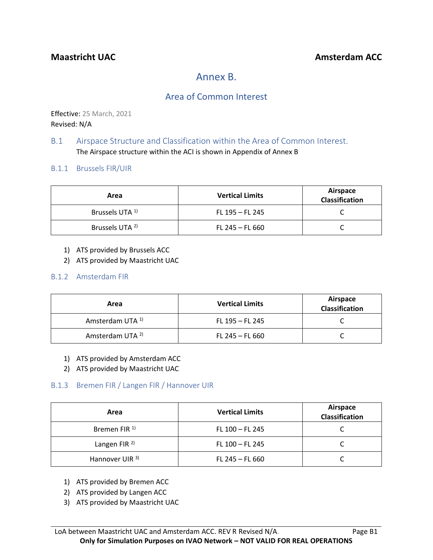# Annex B.

### Area of Common Interest

Effective: 25 March, 2021 Revised: N/A

### B.1 Airspace Structure and Classification within the Area of Common Interest. The Airspace structure within the ACI is shown in Appendix of Annex B

### B.1.1 Brussels FIR/UIR

| Area                       | <b>Vertical Limits</b> | Airspace<br>Classification |
|----------------------------|------------------------|----------------------------|
| Brussels UTA <sup>1)</sup> | FL 195 - FL 245        |                            |
| Brussels UTA <sup>2)</sup> | FL 245 $-$ FL 660      |                            |

- 1) ATS provided by Brussels ACC
- 2) ATS provided by Maastricht UAC

### B.1.2 Amsterdam FIR

| Area                        | <b>Vertical Limits</b> | Airspace<br>Classification |
|-----------------------------|------------------------|----------------------------|
| Amsterdam UTA <sup>1)</sup> | FL $195 - F$ L $245$   |                            |
| Amsterdam UTA <sup>2)</sup> | $FL 245 - FL 660$      |                            |

- 1) ATS provided by Amsterdam ACC
- 2) ATS provided by Maastricht UAC

### B.1.3 Bremen FIR / Langen FIR / Hannover UIR

| Area                     | <b>Vertical Limits</b> | Airspace<br><b>Classification</b> |
|--------------------------|------------------------|-----------------------------------|
| Bremen FIR <sup>1)</sup> | FL 100 - FL 245        |                                   |
| Langen FIR <sup>2)</sup> | FL 100 - FL 245        |                                   |
| Hannover UIR 3)          | $FL 245 - FL 660$      |                                   |

- 1) ATS provided by Bremen ACC
- 2) ATS provided by Langen ACC
- 3) ATS provided by Maastricht UAC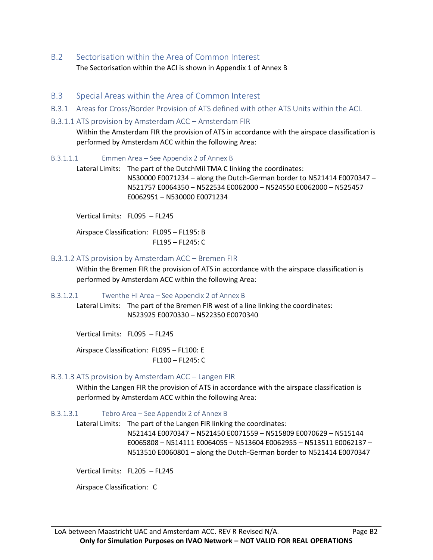- B.2 Sectorisation within the Area of Common Interest The Sectorisation within the ACI is shown in Appendix 1 of Annex B
- B.3 Special Areas within the Area of Common Interest
- B.3.1 Areas for Cross/Border Provision of ATS defined with other ATS Units within the ACI.
- B.3.1.1 ATS provision by Amsterdam ACC Amsterdam FIR

Within the Amsterdam FIR the provision of ATS in accordance with the airspace classification is performed by Amsterdam ACC within the following Area:

B.3.1.1.1 Emmen Area – See Appendix 2 of Annex B

Lateral Limits: The part of the DutchMil TMA C linking the coordinates: N530000 E0071234 – along the Dutch-German border to N521414 E0070347 – N521757 E0064350 – N522534 E0062000 – N524550 E0062000 – N525457 E0062951 – N530000 E0071234

Vertical limits: FL095 – FL245

Airspace Classification: FL095 – FL195: B FL195 – FL245: C

### B.3.1.2 ATS provision by Amsterdam ACC – Bremen FIR

Within the Bremen FIR the provision of ATS in accordance with the airspace classification is performed by Amsterdam ACC within the following Area:

B.3.1.2.1 Twenthe HI Area – See Appendix 2 of Annex B

Lateral Limits: The part of the Bremen FIR west of a line linking the coordinates: N523925 E0070330 – N522350 E0070340

Vertical limits: FL095 – FL245

Airspace Classification: FL095 – FL100: E FL100 – FL245: C

### B.3.1.3 ATS provision by Amsterdam ACC – Langen FIR

Within the Langen FIR the provision of ATS in accordance with the airspace classification is performed by Amsterdam ACC within the following Area:

B.3.1.3.1 Tebro Area – See Appendix 2 of Annex B

Lateral Limits: The part of the Langen FIR linking the coordinates:

N521414 E0070347 – N521450 E0071559 – N515809 E0070629 – N515144 E0065808 – N514111 E0064055 – N513604 E0062955 – N513511 E0062137 – N513510 E0060801 – along the Dutch-German border to N521414 E0070347

Vertical limits: FL205 – FL245

Airspace Classification: C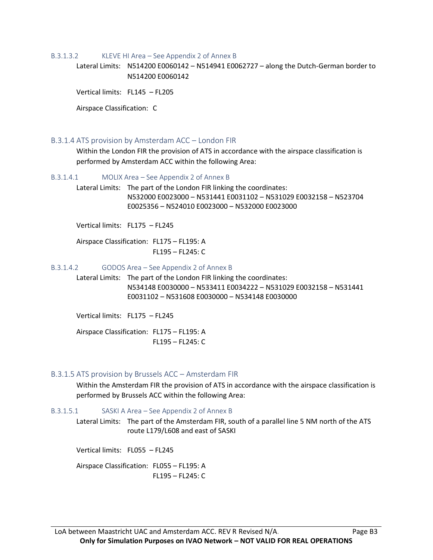#### B.3.1.3.2 KLEVE HI Area – See Appendix 2 of Annex B

Lateral Limits: N514200 E0060142 – N514941 E0062727 – along the Dutch-German border to N514200 E0060142

Vertical limits: FL145 – FL205

Airspace Classification: C

#### B.3.1.4 ATS provision by Amsterdam ACC – London FIR

Within the London FIR the provision of ATS in accordance with the airspace classification is performed by Amsterdam ACC within the following Area:

B.3.1.4.1 MOLIX Area – See Appendix 2 of Annex B

Lateral Limits: The part of the London FIR linking the coordinates: N532000 E0023000 – N531441 E0031102 – N531029 E0032158 – N523704 E0025356 – N524010 E0023000 – N532000 E0023000

Vertical limits: FL175 – FL245

Airspace Classification: FL175 – FL195: A FL195 – FL245: C

#### B.3.1.4.2 GODOS Area – See Appendix 2 of Annex B

Lateral Limits: The part of the London FIR linking the coordinates: N534148 E0030000 – N533411 E0034222 – N531029 E0032158 – N531441 E0031102 – N531608 E0030000 – N534148 E0030000

Vertical limits: FL175 – FL245

Airspace Classification: FL175 – FL195: A FL195 – FL245: C

### B.3.1.5 ATS provision by Brussels ACC – Amsterdam FIR

Within the Amsterdam FIR the provision of ATS in accordance with the airspace classification is performed by Brussels ACC within the following Area:

#### B.3.1.5.1 SASKI A Area – See Appendix 2 of Annex B

Lateral Limits: The part of the Amsterdam FIR, south of a parallel line 5 NM north of the ATS route L179/L608 and east of SASKI

Vertical limits: FL055 – FL245

Airspace Classification: FL055 – FL195: A FL195 – FL245: C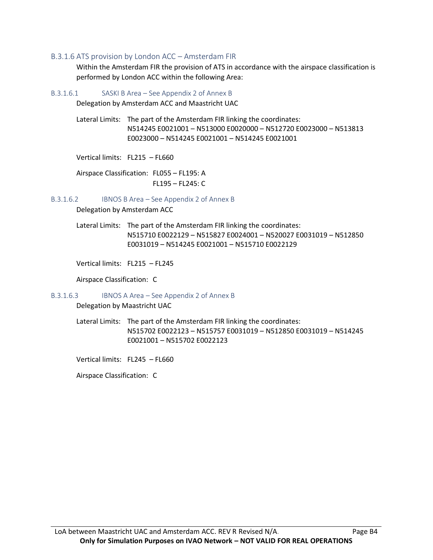### B.3.1.6 ATS provision by London ACC – Amsterdam FIR

Within the Amsterdam FIR the provision of ATS in accordance with the airspace classification is performed by London ACC within the following Area:

B.3.1.6.1 SASKI B Area – See Appendix 2 of Annex B

Delegation by Amsterdam ACC and Maastricht UAC

Lateral Limits: The part of the Amsterdam FIR linking the coordinates: N514245 E0021001 – N513000 E0020000 – N512720 E0023000 – N513813 E0023000 – N514245 E0021001 – N514245 E0021001

Vertical limits: FL215 – FL660

Airspace Classification: FL055 – FL195: A FL195 – FL245: C

B.3.1.6.2 IBNOS B Area – See Appendix 2 of Annex B

Delegation by Amsterdam ACC

Lateral Limits: The part of the Amsterdam FIR linking the coordinates: N515710 E0022129 – N515827 E0024001 – N520027 E0031019 – N512850 E0031019 – N514245 E0021001 – N515710 E0022129

Vertical limits: FL215 – FL245

Airspace Classification: C

B.3.1.6.3 IBNOS A Area – See Appendix 2 of Annex B

Delegation by Maastricht UAC

Lateral Limits: The part of the Amsterdam FIR linking the coordinates: N515702 E0022123 – N515757 E0031019 – N512850 E0031019 – N514245 E0021001 – N515702 E0022123

Vertical limits: FL245 – FL660

Airspace Classification: C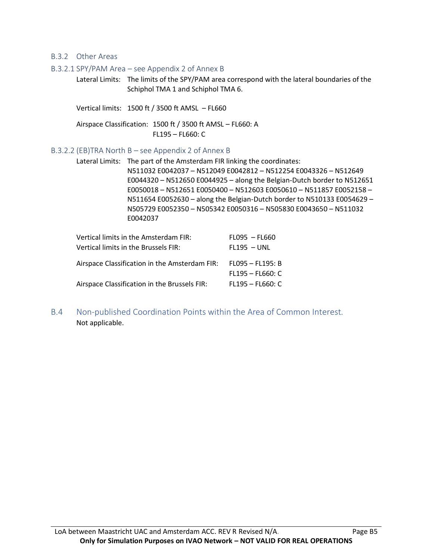### B.3.2 Other Areas

#### B.3.2.1 SPY/PAM Area – see Appendix 2 of Annex B

Lateral Limits: The limits of the SPY/PAM area correspond with the lateral boundaries of the Schiphol TMA 1 and Schiphol TMA 6.

Vertical limits: 1500 ft / 3500 ft AMSL – FL660

Airspace Classification: 1500 ft / 3500 ft AMSL – FL660: A FL195 – FL660: C

### B.3.2.2 (EB)TRA North B – see Appendix 2 of Annex B

Lateral Limits: The part of the Amsterdam FIR linking the coordinates: N511032 E0042037 – N512049 E0042812 – N512254 E0043326 – N512649 E0044320 – N512650 E0044925 – along the Belgian-Dutch border to N512651 E0050018 – N512651 E0050400 – N512603 E0050610 – N511857 E0052158 – N511654 E0052630 – along the Belgian-Dutch border to N510133 E0054629 – N505729 E0052350 – N505342 E0050316 – N505830 E0043650 – N511032 E0042037

| Vertical limits in the Amsterdam FIR:                          | $FLO95 - FLG60$    |
|----------------------------------------------------------------|--------------------|
| Vertical limits in the Brussels FIR:                           | $FL195 - UNL$      |
| Airspace Classification in the Amsterdam FIR: FL095 - FL195: B |                    |
|                                                                | $FL195 - FL660: C$ |
| Airspace Classification in the Brussels FIR:                   | $FL195 - FL660: C$ |

B.4 Non-published Coordination Points within the Area of Common Interest. Not applicable.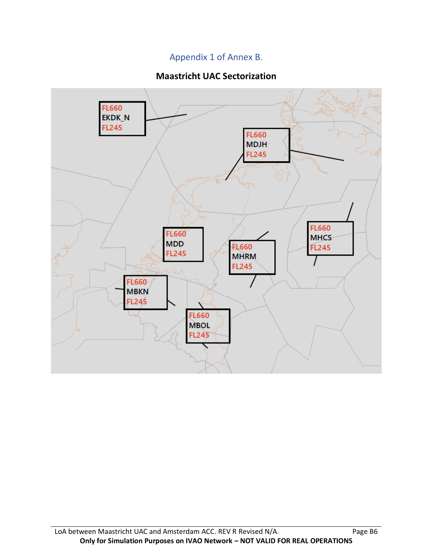### Appendix 1 of Annex B.

### **Maastricht UAC Sectorization**

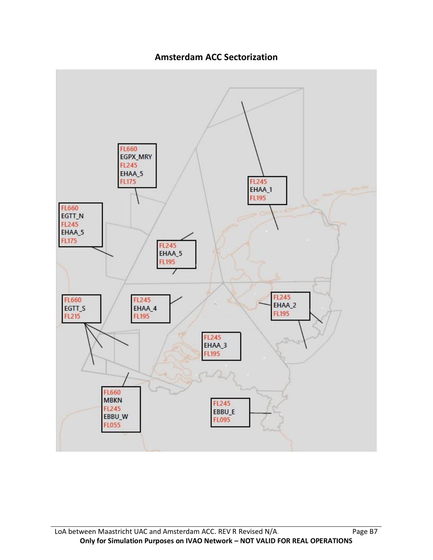

### **Amsterdam ACC Sectorization**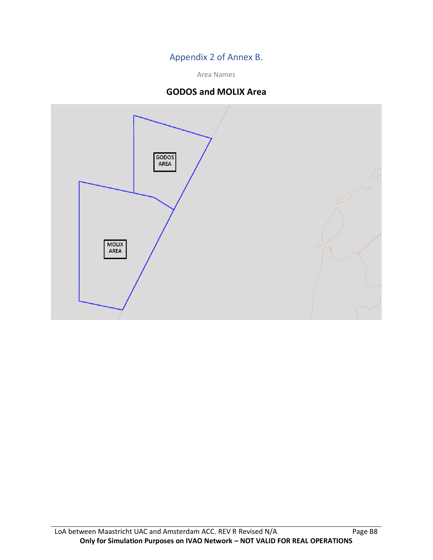### Appendix 2 of Annex B.

Area Names

### **GODOS and MOLIX Area**

![](_page_16_Figure_3.jpeg)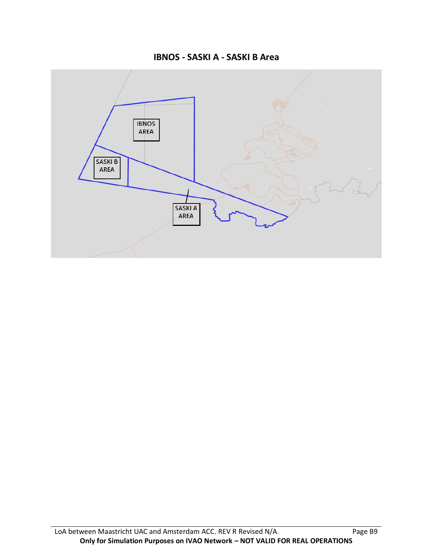**IBNOS - SASKI A - SASKI B Area**

![](_page_17_Figure_1.jpeg)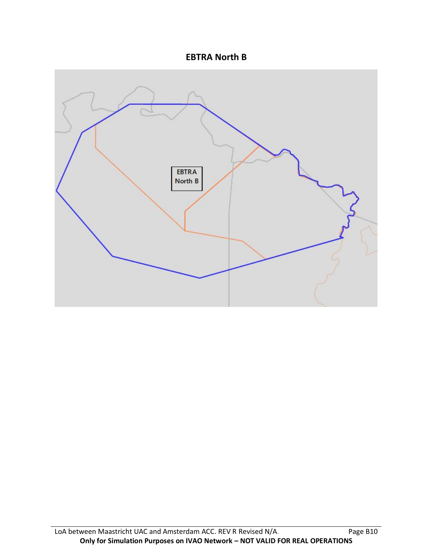![](_page_18_Figure_0.jpeg)

![](_page_18_Figure_1.jpeg)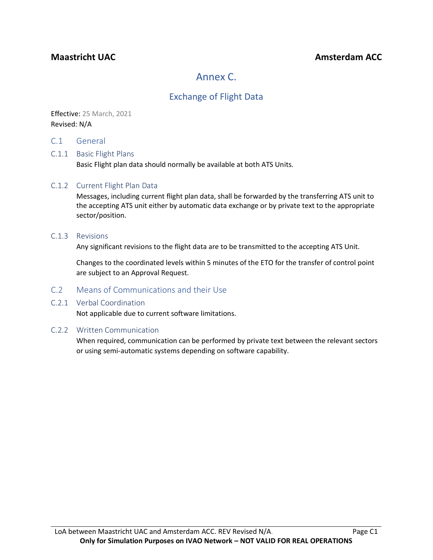### **Maastricht UAC Amsterdam ACC Amsterdam ACC**

# Annex C.

### Exchange of Flight Data

Effective: 25 March, 2021 Revised: N/A

C.1 General

### C.1.1 Basic Flight Plans

Basic Flight plan data should normally be available at both ATS Units.

### C.1.2 Current Flight Plan Data

Messages, including current flight plan data, shall be forwarded by the transferring ATS unit to the accepting ATS unit either by automatic data exchange or by private text to the appropriate sector/position.

#### C.1.3 Revisions

Any significant revisions to the flight data are to be transmitted to the accepting ATS Unit.

Changes to the coordinated levels within 5 minutes of the ETO for the transfer of control point are subject to an Approval Request.

### C.2 Means of Communications and their Use

### C.2.1 Verbal Coordination

Not applicable due to current software limitations.

#### C.2.2 Written Communication

When required, communication can be performed by private text between the relevant sectors or using semi-automatic systems depending on software capability.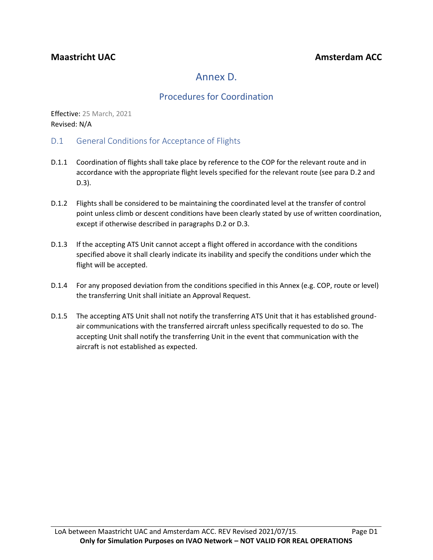# Annex D.

### Procedures for Coordination

Effective: 25 March, 2021 Revised: N/A

- D.1 General Conditions for Acceptance of Flights
- D.1.1 Coordination of flights shall take place by reference to the COP for the relevant route and in accordance with the appropriate flight levels specified for the relevant route (see para D.2 and D.3).
- D.1.2 Flights shall be considered to be maintaining the coordinated level at the transfer of control point unless climb or descent conditions have been clearly stated by use of written coordination, except if otherwise described in paragraphs D.2 or D.3.
- D.1.3 If the accepting ATS Unit cannot accept a flight offered in accordance with the conditions specified above it shall clearly indicate its inability and specify the conditions under which the flight will be accepted.
- D.1.4 For any proposed deviation from the conditions specified in this Annex (e.g. COP, route or level) the transferring Unit shall initiate an Approval Request.
- D.1.5 The accepting ATS Unit shall not notify the transferring ATS Unit that it has established groundair communications with the transferred aircraft unless specifically requested to do so. The accepting Unit shall notify the transferring Unit in the event that communication with the aircraft is not established as expected.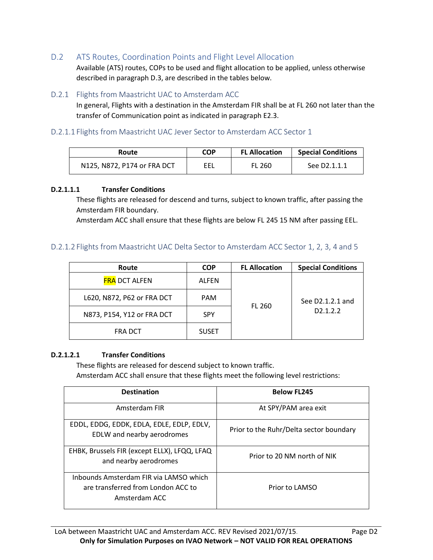D.2 ATS Routes, Coordination Points and Flight Level Allocation

Available (ATS) routes, COPs to be used and flight allocation to be applied, unless otherwise described in paragraph D.3, are described in the tables below.

### D.2.1 Flights from Maastricht UAC to Amsterdam ACC

In general, Flights with a destination in the Amsterdam FIR shall be at FL 260 not later than the transfer of Communication point as indicated in paragraph E2.3.

### D.2.1.1 Flights from Maastricht UAC Jever Sector to Amsterdam ACC Sector 1

| Route                       | <b>COP</b> | <b>FL Allocation</b> | <b>Special Conditions</b> |
|-----------------------------|------------|----------------------|---------------------------|
| N125, N872, P174 or FRA DCT | EEL        | <b>FL 260</b>        | See D2.1.1.1              |

### **D.2.1.1.1 Transfer Conditions**

These flights are released for descend and turns, subject to known traffic, after passing the Amsterdam FIR boundary.

Amsterdam ACC shall ensure that these flights are below FL 245 15 NM after passing EEL.

### D.2.1.2 Flights from Maastricht UAC Delta Sector to Amsterdam ACC Sector 1, 2, 3, 4 and 5

| Route                      | <b>COP</b>   | <b>FL Allocation</b> | <b>Special Conditions</b> |
|----------------------------|--------------|----------------------|---------------------------|
| <b>FRA DCT ALFEN</b>       | ALFEN        |                      | See D2.1.2.1 and          |
| L620, N872, P62 or FRA DCT | <b>PAM</b>   |                      |                           |
| N873, P154, Y12 or FRA DCT | <b>SPY</b>   | <b>FL 260</b>        | D <sub>2</sub> .1.2.2     |
| <b>FRA DCT</b>             | <b>SUSET</b> |                      |                           |

#### **D.2.1.2.1 Transfer Conditions**

These flights are released for descend subject to known traffic. Amsterdam ACC shall ensure that these flights meet the following level restrictions:

| <b>Destination</b>                                                                            | <b>Below FL245</b>                      |
|-----------------------------------------------------------------------------------------------|-----------------------------------------|
| Amsterdam FIR                                                                                 | At SPY/PAM area exit                    |
| EDDL, EDDG, EDDK, EDLA, EDLE, EDLP, EDLV,<br>EDLW and nearby aerodromes                       | Prior to the Ruhr/Delta sector boundary |
| EHBK, Brussels FIR (except ELLX), LFQQ, LFAQ<br>and nearby aerodromes                         | Prior to 20 NM north of NIK             |
| Inbounds Amsterdam FIR via LAMSO which<br>are transferred from London ACC to<br>Amsterdam ACC | Prior to LAMSO                          |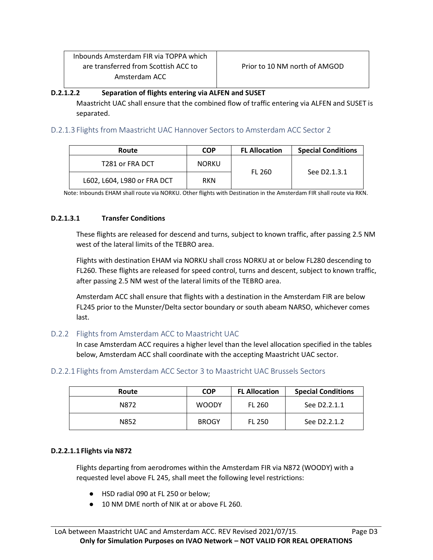| Inbounds Amsterdam FIR via TOPPA which |
|----------------------------------------|
| are transferred from Scottish ACC to   |
| Amsterdam ACC                          |

### **D.2.1.2.2 Separation of flights entering via ALFEN and SUSET**

Maastricht UAC shall ensure that the combined flow of traffic entering via ALFEN and SUSET is separated.

D.2.1.3 Flights from Maastricht UAC Hannover Sectors to Amsterdam ACC Sector 2

| Route                       | <b>COP</b>   | <b>FL Allocation</b> | <b>Special Conditions</b> |
|-----------------------------|--------------|----------------------|---------------------------|
| T281 or FRA DCT             | <b>NORKU</b> |                      | See D2.1.3.1              |
| L602, L604, L980 or FRA DCT | <b>RKN</b>   | <b>FL 260</b>        |                           |

Note: Inbounds EHAM shall route via NORKU. Other flights with Destination in the Amsterdam FIR shall route via RKN.

### **D.2.1.3.1 Transfer Conditions**

These flights are released for descend and turns, subject to known traffic, after passing 2.5 NM west of the lateral limits of the TEBRO area.

Flights with destination EHAM via NORKU shall cross NORKU at or below FL280 descending to FL260. These flights are released for speed control, turns and descent, subject to known traffic, after passing 2.5 NM west of the lateral limits of the TEBRO area.

Amsterdam ACC shall ensure that flights with a destination in the Amsterdam FIR are below FL245 prior to the Munster/Delta sector boundary or south abeam NARSO, whichever comes last.

### D.2.2 Flights from Amsterdam ACC to Maastricht UAC

In case Amsterdam ACC requires a higher level than the level allocation specified in the tables below, Amsterdam ACC shall coordinate with the accepting Maastricht UAC sector.

### D.2.2.1 Flights from Amsterdam ACC Sector 3 to Maastricht UAC Brussels Sectors

| Route | <b>COP</b>   | <b>FL Allocation</b> | <b>Special Conditions</b> |
|-------|--------------|----------------------|---------------------------|
| N872  | <b>WOODY</b> | <b>FL 260</b>        | See D2.2.1.1              |
| N852  | <b>BROGY</b> | <b>FL 250</b>        | See D2.2.1.2              |

#### **D.2.2.1.1 Flights via N872**

Flights departing from aerodromes within the Amsterdam FIR via N872 (WOODY) with a requested level above FL 245, shall meet the following level restrictions:

- HSD radial 090 at FL 250 or below;
- 10 NM DME north of NIK at or above FL 260.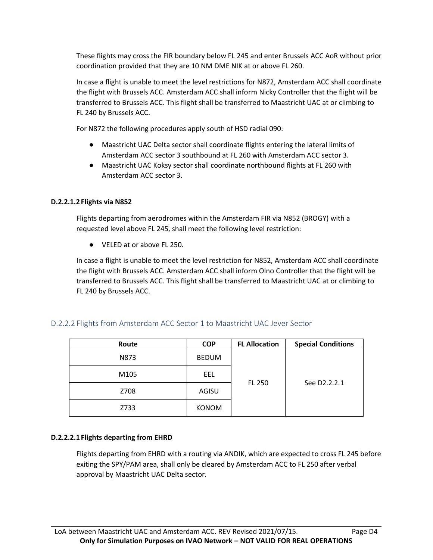These flights may cross the FIR boundary below FL 245 and enter Brussels ACC AoR without prior coordination provided that they are 10 NM DME NIK at or above FL 260.

In case a flight is unable to meet the level restrictions for N872, Amsterdam ACC shall coordinate the flight with Brussels ACC. Amsterdam ACC shall inform Nicky Controller that the flight will be transferred to Brussels ACC. This flight shall be transferred to Maastricht UAC at or climbing to FL 240 by Brussels ACC.

For N872 the following procedures apply south of HSD radial 090:

- Maastricht UAC Delta sector shall coordinate flights entering the lateral limits of Amsterdam ACC sector 3 southbound at FL 260 with Amsterdam ACC sector 3.
- Maastricht UAC Koksy sector shall coordinate northbound flights at FL 260 with Amsterdam ACC sector 3.

### **D.2.2.1.2 Flights via N852**

Flights departing from aerodromes within the Amsterdam FIR via N852 (BROGY) with a requested level above FL 245, shall meet the following level restriction:

● VELED at or above FL 250.

In case a flight is unable to meet the level restriction for N852, Amsterdam ACC shall coordinate the flight with Brussels ACC. Amsterdam ACC shall inform Olno Controller that the flight will be transferred to Brussels ACC. This flight shall be transferred to Maastricht UAC at or climbing to FL 240 by Brussels ACC.

### D.2.2.2 Flights from Amsterdam ACC Sector 1 to Maastricht UAC Jever Sector

| Route | <b>COP</b>   | <b>FL Allocation</b> | <b>Special Conditions</b> |
|-------|--------------|----------------------|---------------------------|
| N873  | <b>BEDUM</b> |                      |                           |
| M105  | EEL          |                      |                           |
| Z708  | AGISU        | <b>FL 250</b>        | See D2.2.2.1              |
| Z733  | <b>KONOM</b> |                      |                           |

### **D.2.2.2.1 Flights departing from EHRD**

Flights departing from EHRD with a routing via ANDIK, which are expected to cross FL 245 before exiting the SPY/PAM area, shall only be cleared by Amsterdam ACC to FL 250 after verbal approval by Maastricht UAC Delta sector.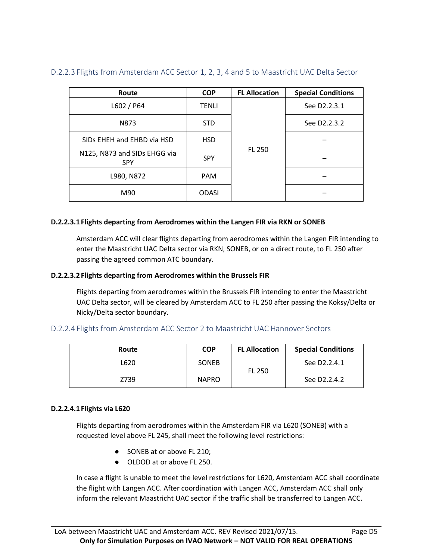| Route                                      | <b>COP</b>   | <b>FL Allocation</b> | <b>Special Conditions</b> |
|--------------------------------------------|--------------|----------------------|---------------------------|
| L602 / P64                                 | <b>TENLI</b> | <b>FL 250</b>        | See D2.2.3.1              |
| N873                                       | <b>STD</b>   |                      | See D2.2.3.2              |
| SIDs EHEH and EHBD via HSD                 | <b>HSD</b>   |                      |                           |
| N125, N873 and SIDs EHGG via<br><b>SPY</b> | <b>SPY</b>   |                      |                           |
| L980, N872                                 | <b>PAM</b>   |                      |                           |
| M90                                        | <b>ODASI</b> |                      |                           |

### D.2.2.3 Flights from Amsterdam ACC Sector 1, 2, 3, 4 and 5 to Maastricht UAC Delta Sector

### **D.2.2.3.1 Flights departing from Aerodromes within the Langen FIR via RKN or SONEB**

Amsterdam ACC will clear flights departing from aerodromes within the Langen FIR intending to enter the Maastricht UAC Delta sector via RKN, SONEB, or on a direct route, to FL 250 after passing the agreed common ATC boundary.

#### **D.2.2.3.2 Flights departing from Aerodromes within the Brussels FIR**

Flights departing from aerodromes within the Brussels FIR intending to enter the Maastricht UAC Delta sector, will be cleared by Amsterdam ACC to FL 250 after passing the Koksy/Delta or Nicky/Delta sector boundary.

### D.2.2.4 Flights from Amsterdam ACC Sector 2 to Maastricht UAC Hannover Sectors

| Route | <b>COP</b>   | <b>FL Allocation</b> | <b>Special Conditions</b> |
|-------|--------------|----------------------|---------------------------|
| L620  | <b>SONEB</b> |                      | See D2.2.4.1              |
| Z739  | <b>NAPRO</b> | <b>FL 250</b>        | See D2.2.4.2              |

#### **D.2.2.4.1 Flights via L620**

Flights departing from aerodromes within the Amsterdam FIR via L620 (SONEB) with a requested level above FL 245, shall meet the following level restrictions:

- SONEB at or above FL 210;
- OLDOD at or above FL 250.

In case a flight is unable to meet the level restrictions for L620, Amsterdam ACC shall coordinate the flight with Langen ACC. After coordination with Langen ACC, Amsterdam ACC shall only inform the relevant Maastricht UAC sector if the traffic shall be transferred to Langen ACC.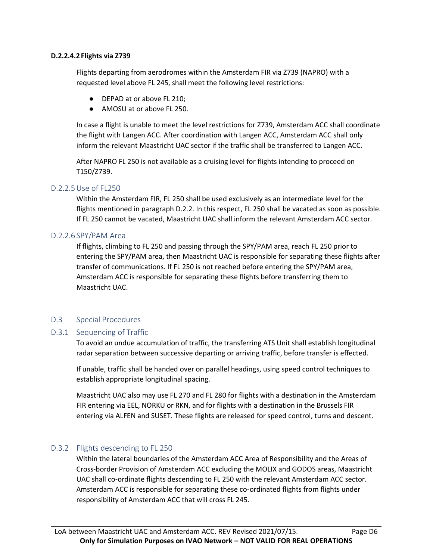### **D.2.2.4.2 Flights via Z739**

Flights departing from aerodromes within the Amsterdam FIR via Z739 (NAPRO) with a requested level above FL 245, shall meet the following level restrictions:

- DEPAD at or above FL 210;
- AMOSU at or above FL 250.

In case a flight is unable to meet the level restrictions for Z739, Amsterdam ACC shall coordinate the flight with Langen ACC. After coordination with Langen ACC, Amsterdam ACC shall only inform the relevant Maastricht UAC sector if the traffic shall be transferred to Langen ACC.

After NAPRO FL 250 is not available as a cruising level for flights intending to proceed on T150/Z739.

### D.2.2.5Use of FL250

Within the Amsterdam FIR, FL 250 shall be used exclusively as an intermediate level for the flights mentioned in paragraph D.2.2. In this respect, FL 250 shall be vacated as soon as possible. If FL 250 cannot be vacated, Maastricht UAC shall inform the relevant Amsterdam ACC sector.

### D.2.2.6 SPY/PAM Area

If flights, climbing to FL 250 and passing through the SPY/PAM area, reach FL 250 prior to entering the SPY/PAM area, then Maastricht UAC is responsible for separating these flights after transfer of communications. If FL 250 is not reached before entering the SPY/PAM area, Amsterdam ACC is responsible for separating these flights before transferring them to Maastricht UAC.

### D.3 Special Procedures

### D.3.1 Sequencing of Traffic

To avoid an undue accumulation of traffic, the transferring ATS Unit shall establish longitudinal radar separation between successive departing or arriving traffic, before transfer is effected.

If unable, traffic shall be handed over on parallel headings, using speed control techniques to establish appropriate longitudinal spacing.

Maastricht UAC also may use FL 270 and FL 280 for flights with a destination in the Amsterdam FIR entering via EEL, NORKU or RKN, and for flights with a destination in the Brussels FIR entering via ALFEN and SUSET. These flights are released for speed control, turns and descent.

### D.3.2 Flights descending to FL 250

Within the lateral boundaries of the Amsterdam ACC Area of Responsibility and the Areas of Cross-border Provision of Amsterdam ACC excluding the MOLIX and GODOS areas, Maastricht UAC shall co-ordinate flights descending to FL 250 with the relevant Amsterdam ACC sector. Amsterdam ACC is responsible for separating these co-ordinated flights from flights under responsibility of Amsterdam ACC that will cross FL 245.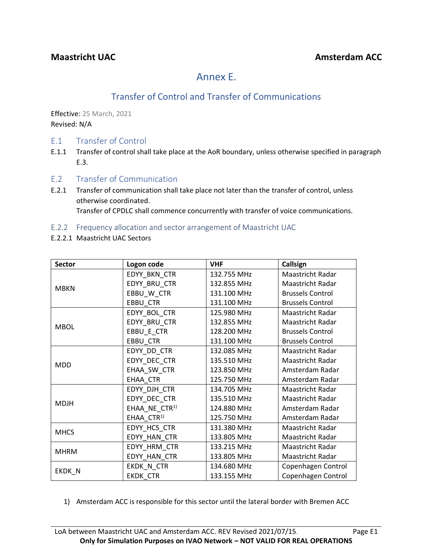# Annex E.

# Transfer of Control and Transfer of Communications

Effective: 25 March, 2021 Revised: N/A

- E.1 Transfer of Control
- E.1.1 Transfer of control shall take place at the AoR boundary, unless otherwise specified in paragraph E.3.
- E.2 Transfer of Communication
- E.2.1 Transfer of communication shall take place not later than the transfer of control, unless otherwise coordinated. Transfer of CPDLC shall commence concurrently with transfer of voice communications.
- E.2.2 Frequency allocation and sector arrangement of Maastricht UAC
- E.2.2.1 Maastricht UAC Sectors

| <b>Sector</b> | Logon code                | <b>VHF</b>  | Callsign                |
|---------------|---------------------------|-------------|-------------------------|
|               | EDYY_BKN_CTR              | 132.755 MHz | Maastricht Radar        |
| <b>MBKN</b>   | EDYY_BRU_CTR              | 132.855 MHz | Maastricht Radar        |
|               | EBBU W CTR                | 131.100 MHz | <b>Brussels Control</b> |
|               | EBBU_CTR                  | 131.100 MHz | <b>Brussels Control</b> |
|               | EDYY_BOL_CTR              | 125.980 MHz | Maastricht Radar        |
| <b>MBOL</b>   | EDYY_BRU_CTR              | 132.855 MHz | Maastricht Radar        |
|               | EBBU_E_CTR                | 128.200 MHz | <b>Brussels Control</b> |
|               | EBBU CTR                  | 131.100 MHz | <b>Brussels Control</b> |
|               | EDYY_DD_CTR               | 132.085 MHz | Maastricht Radar        |
| <b>MDD</b>    | EDYY DEC CTR              | 135.510 MHz | Maastricht Radar        |
|               | EHAA_SW_CTR               | 123.850 MHz | Amsterdam Radar         |
|               | EHAA CTR                  | 125.750 MHz | Amsterdam Radar         |
|               | EDYY_DJH_CTR              | 134.705 MHz | Maastricht Radar        |
| <b>MDJH</b>   | EDYY_DEC_CTR              | 135.510 MHz | Maastricht Radar        |
|               | EHAA NE CTR <sup>1)</sup> | 124.880 MHz | Amsterdam Radar         |
|               | EHAA CTR <sup>1)</sup>    | 125.750 MHz | Amsterdam Radar         |
| <b>MHCS</b>   | EDYY HCS CTR              | 131.380 MHz | Maastricht Radar        |
|               | EDYY HAN CTR              | 133.805 MHz | Maastricht Radar        |
| <b>MHRM</b>   | EDYY_HRM_CTR              | 133.215 MHz | Maastricht Radar        |
|               | EDYY HAN CTR              | 133.805 MHz | Maastricht Radar        |
|               | EKDK_N_CTR                | 134.680 MHz | Copenhagen Control      |
| EKDK N        | <b>EKDK CTR</b>           | 133.155 MHz | Copenhagen Control      |

1) Amsterdam ACC is responsible for this sector until the lateral border with Bremen ACC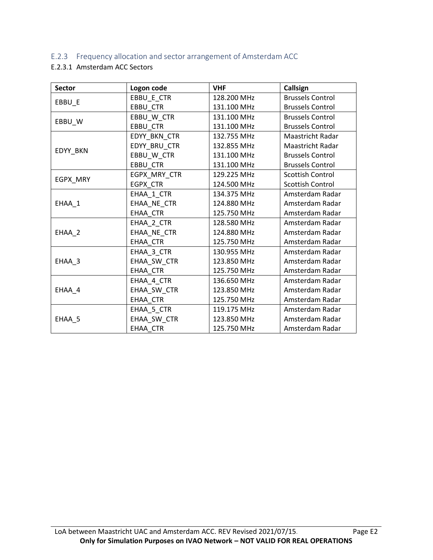### E.2.3 Frequency allocation and sector arrangement of Amsterdam ACC

### E.2.3.1 Amsterdam ACC Sectors

| <b>Sector</b> | Logon code      | <b>VHF</b>  | Callsign                |
|---------------|-----------------|-------------|-------------------------|
|               | EBBU_E_CTR      | 128.200 MHz | <b>Brussels Control</b> |
| EBBU_E        | EBBU_CTR        | 131.100 MHz | <b>Brussels Control</b> |
|               | EBBU_W_CTR      | 131.100 MHz | <b>Brussels Control</b> |
| EBBU_W        | <b>EBBU CTR</b> | 131.100 MHz | <b>Brussels Control</b> |
|               | EDYY BKN CTR    | 132.755 MHz | <b>Maastricht Radar</b> |
|               | EDYY_BRU_CTR    | 132.855 MHz | Maastricht Radar        |
| EDYY_BKN      | EBBU W CTR      | 131.100 MHz | <b>Brussels Control</b> |
|               | EBBU CTR        | 131.100 MHz | <b>Brussels Control</b> |
|               | EGPX_MRY_CTR    | 129.225 MHz | <b>Scottish Control</b> |
| EGPX_MRY      | EGPX_CTR        | 124.500 MHz | <b>Scottish Control</b> |
|               | EHAA_1_CTR      | 134.375 MHz | Amsterdam Radar         |
| EHAA_1        | EHAA NE CTR     | 124.880 MHz | Amsterdam Radar         |
|               | EHAA CTR        | 125.750 MHz | Amsterdam Radar         |
|               | EHAA_2_CTR      | 128.580 MHz | Amsterdam Radar         |
| EHAA_2        | EHAA NE CTR     | 124.880 MHz | Amsterdam Radar         |
|               | EHAA CTR        | 125.750 MHz | Amsterdam Radar         |
|               | EHAA_3_CTR      | 130.955 MHz | Amsterdam Radar         |
| EHAA_3        | EHAA_SW_CTR     | 123.850 MHz | Amsterdam Radar         |
|               | EHAA_CTR        | 125.750 MHz | Amsterdam Radar         |
|               | EHAA 4 CTR      | 136.650 MHz | Amsterdam Radar         |
| EHAA_4        | EHAA_SW_CTR     | 123.850 MHz | Amsterdam Radar         |
|               | EHAA CTR        | 125.750 MHz | Amsterdam Radar         |
|               | EHAA_5_CTR      | 119.175 MHz | Amsterdam Radar         |
| EHAA_5        | EHAA_SW_CTR     | 123.850 MHz | Amsterdam Radar         |
|               | <b>EHAA CTR</b> | 125.750 MHz | Amsterdam Radar         |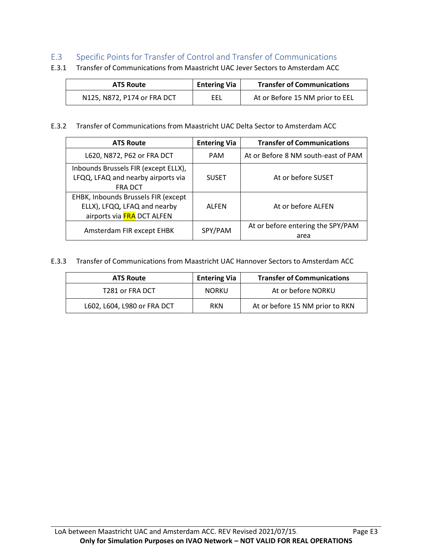### E.3 Specific Points for Transfer of Control and Transfer of Communications

| <b>ATS Route</b>            | <b>Entering Via</b> | <b>Transfer of Communications</b> |
|-----------------------------|---------------------|-----------------------------------|
| N125, N872, P174 or FRA DCT | EEL                 | At or Before 15 NM prior to EEL   |

- E.3.1 Transfer of Communications from Maastricht UAC Jever Sectors to Amsterdam ACC
- E.3.2 Transfer of Communications from Maastricht UAC Delta Sector to Amsterdam ACC

| <b>ATS Route</b>                     | <b>Entering Via</b> | <b>Transfer of Communications</b>   |
|--------------------------------------|---------------------|-------------------------------------|
| L620, N872, P62 or FRA DCT           | <b>PAM</b>          | At or Before 8 NM south-east of PAM |
| Inbounds Brussels FIR (except ELLX), |                     |                                     |
| LFQQ, LFAQ and nearby airports via   | <b>SUSET</b>        | At or before SUSET                  |
| <b>FRADCT</b>                        |                     |                                     |
| EHBK, Inbounds Brussels FIR (except  |                     |                                     |
| ELLX), LFQQ, LFAQ and nearby         | <b>ALFEN</b>        | At or before ALFEN                  |
| airports via FRA DCT ALFEN           |                     |                                     |
| Amsterdam FIR except EHBK            | SPY/PAM             | At or before entering the SPY/PAM   |
|                                      |                     | area                                |

E.3.3 Transfer of Communications from Maastricht UAC Hannover Sectors to Amsterdam ACC

| <b>ATS Route</b>            | <b>Entering Via</b> | <b>Transfer of Communications</b> |
|-----------------------------|---------------------|-----------------------------------|
| T281 or FRA DCT             | <b>NORKU</b>        | At or before NORKU                |
| L602, L604, L980 or FRA DCT | <b>RKN</b>          | At or before 15 NM prior to RKN   |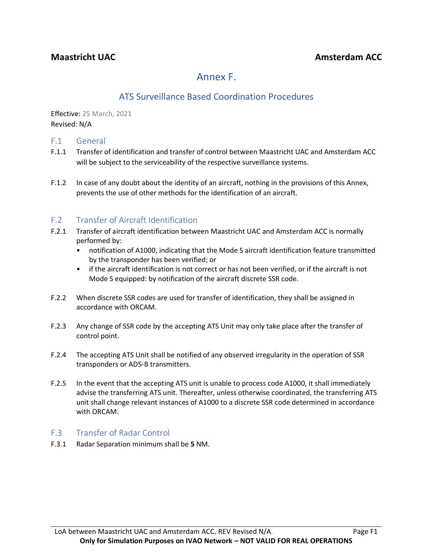# Annex F.

## ATS Surveillance Based Coordination Procedures

Effective: 25 March, 2021 Revised: N/A

### F.1 General

- F.1.1 Transfer of identification and transfer of control between Maastricht UAC and Amsterdam ACC will be subject to the serviceability of the respective surveillance systems.
- F.1.2 In case of any doubt about the identity of an aircraft, nothing in the provisions of this Annex, prevents the use of other methods for the identification of an aircraft.

### F.2 Transfer of Aircraft Identification

- F.2.1 Transfer of aircraft identification between Maastricht UAC and Amsterdam ACC is normally performed by:
	- notification of A1000, indicating that the Mode S aircraft identification feature transmitted by the transponder has been verified; or
	- if the aircraft identification is not correct or has not been verified, or if the aircraft is not Mode S equipped: by notification of the aircraft discrete SSR code.
- F.2.2 When discrete SSR codes are used for transfer of identification, they shall be assigned in accordance with ORCAM.
- F.2.3 Any change of SSR code by the accepting ATS Unit may only take place after the transfer of control point.
- F.2.4 The accepting ATS Unit shall be notified of any observed irregularity in the operation of SSR transponders or ADS-B transmitters.
- F.2.5 In the event that the accepting ATS unit is unable to process code A1000, it shall immediately advise the transferring ATS unit. Thereafter, unless otherwise coordinated, the transferring ATS unit shall change relevant instances of A1000 to a discrete SSR code determined in accordance with ORCAM.

### F.3 Transfer of Radar Control

F.3.1 Radar Separation minimum shall be **5** NM.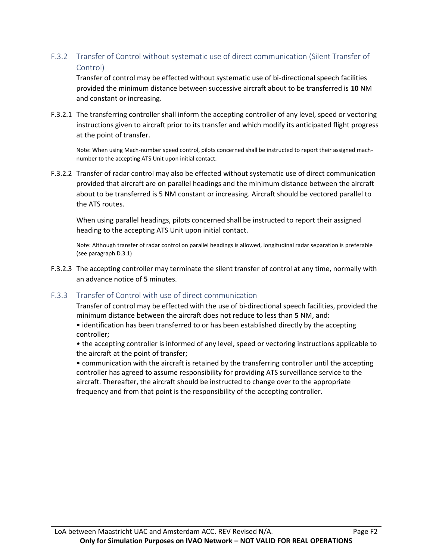F.3.2 Transfer of Control without systematic use of direct communication (Silent Transfer of Control)

Transfer of control may be effected without systematic use of bi-directional speech facilities provided the minimum distance between successive aircraft about to be transferred is **10** NM and constant or increasing.

F.3.2.1 The transferring controller shall inform the accepting controller of any level, speed or vectoring instructions given to aircraft prior to its transfer and which modify its anticipated flight progress at the point of transfer.

Note: When using Mach-number speed control, pilots concerned shall be instructed to report their assigned machnumber to the accepting ATS Unit upon initial contact.

F.3.2.2 Transfer of radar control may also be effected without systematic use of direct communication provided that aircraft are on parallel headings and the minimum distance between the aircraft about to be transferred is 5 NM constant or increasing. Aircraft should be vectored parallel to the ATS routes.

When using parallel headings, pilots concerned shall be instructed to report their assigned heading to the accepting ATS Unit upon initial contact.

Note: Although transfer of radar control on parallel headings is allowed, longitudinal radar separation is preferable (see paragraph D.3.1)

F.3.2.3 The accepting controller may terminate the silent transfer of control at any time, normally with an advance notice of **5** minutes.

### F.3.3 Transfer of Control with use of direct communication

Transfer of control may be effected with the use of bi-directional speech facilities, provided the minimum distance between the aircraft does not reduce to less than **5** NM, and:

• identification has been transferred to or has been established directly by the accepting controller;

• the accepting controller is informed of any level, speed or vectoring instructions applicable to the aircraft at the point of transfer;

• communication with the aircraft is retained by the transferring controller until the accepting controller has agreed to assume responsibility for providing ATS surveillance service to the aircraft. Thereafter, the aircraft should be instructed to change over to the appropriate frequency and from that point is the responsibility of the accepting controller.